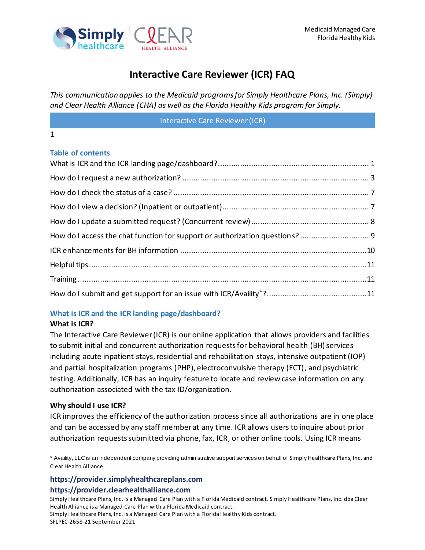

*This communication applies to the Medicaid programs for Simply Healthcare Plans, Inc. (Simply) and Clear Health Alliance (CHA) as well as the Florida Healthy Kids program for Simply.*

Interactive Care Reviewer (ICR)

#### 1

#### **Table of contents**

### <span id="page-0-0"></span>**What is ICR and the ICR landing page/dashboard?**

#### **What is ICR?**

The Interactive Care Reviewer (ICR) is our online application that allows providers and facilities to submit initial and concurrent authorization requests for behavioral health (BH) services including acute inpatient stays, residential and rehabilitation stays, intensive outpatient (IOP) and partial hospitalization programs (PHP), electroconvulsive therapy (ECT), and psychiatric testing. Additionally, ICR has an inquiry feature to locate and review case information on any authorization associated with the tax ID/organization.

#### **Why should I use ICR?**

ICR improves the efficiency of the authorization process since all authorizations are in one place and can be accessed by any staff member at any time. ICR allows users to inquire about prior authorization requests submitted via phone, fax, ICR, or other online tools. Using ICR means

\* Availity, LLC is an independent company providing administrative support services on behalf of Simply Healthcare Plans, Inc. and Clear Health Alliance.

#### **https://provider.simplyhealthcareplans.com https://provider.clearhealthalliance.com**

Simply Healthcare Plans, Inc. is a Managed Care Plan with a Florida Medicaid contract. Simply Healthcare Plans, Inc. dba Clear Health Alliance is a Managed Care Plan with a Florida Medicaid contract.

Simply Healthcare Plans, Inc. is a Managed Care Plan with a Florida Healthy Kids contract. SFLPEC-2658-21 September 2021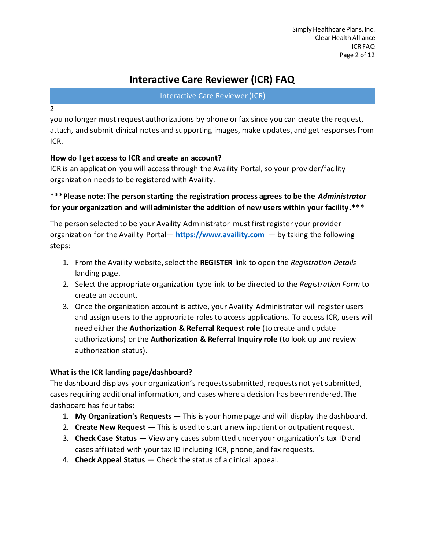Interactive Care Reviewer (ICR)

2

you no longer must request authorizations by phone or fax since you can create the request, attach, and submit clinical notes and supporting images, make updates, and get responses from ICR.

### **How do I get access to ICR and create an account?**

ICR is an application you will access through the Availity Portal, so your provider/facility organization needs to be registered with Availity.

**\*\*\*Please note: The person starting the registration process agrees to be the** *Administrator* **for your organization and will administer the addition of new users within your facility.\*\*\***

The person selected to be your Availity Administrator must first register your provider organization for the Availity Portal— **[https://www.availity.com](https://www.availity.com/)** — by taking the following steps:

- 1. From the Availity website, select the **REGISTER** link to open the *Registration Details* landing page.
- 2. Select the appropriate organization type link to be directed to the *Registration Form* to create an account.
- 3. Once the organization account is active, your Availity Administrator will register users and assign users to the appropriate roles to access applications. To access ICR, users will need either the **Authorization & Referral Request role** (to create and update authorizations) or the **Authorization & Referral Inquiry role** (to look up and review authorization status).

### **What is the ICR landing page/dashboard?**

The dashboard displays your organization's requests submitted, requests not yet submitted, cases requiring additional information, and cases where a decision has been rendered. The dashboard has four tabs:

- 1. **My Organization's Requests** This is your home page and will display the dashboard.
- 2. **Create New Request** This is used to start a new inpatient or outpatient request.
- 3. **Check Case Status** View any cases submitted under your organization's tax ID and cases affiliated with your tax ID including ICR, phone, and fax requests.
- 4. **Check Appeal Status** Check the status of a clinical appeal.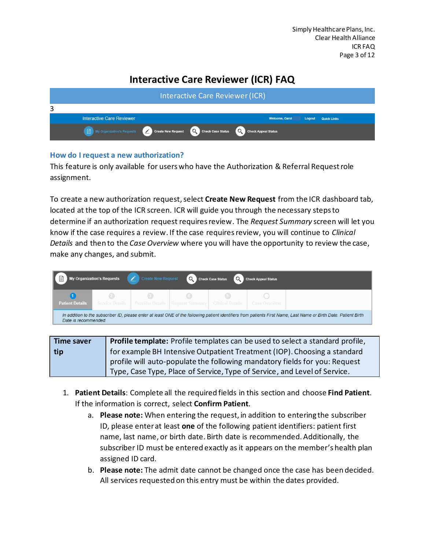|   | <b>Interactive Care Reviewer (ICR)</b>                                                                    |  |  |  |                       |        |                    |  |  |
|---|-----------------------------------------------------------------------------------------------------------|--|--|--|-----------------------|--------|--------------------|--|--|
| 3 |                                                                                                           |  |  |  |                       |        |                    |  |  |
|   | <b>Interactive Care Reviewer</b>                                                                          |  |  |  | <b>Welcome, Carol</b> | Logout | <b>Quick Links</b> |  |  |
|   | My Organization's Requests <b>CO</b> Create New Request <b>C</b> Check Case Status Co Check Appeal Status |  |  |  |                       |        |                    |  |  |

#### <span id="page-2-0"></span>**How do I request a new authorization?**

This feature is only available for users who have the Authorization & Referral Request role assignment.

To create a new authorization request, select Create New Request from the ICR dashboard tab, located at the top of the ICR screen. ICR will guide you through the necessary steps to determine if an authorization request requires review. The *Request Summary* screen will let you know if the case requires a review. If the case requiresreview, you will continue to *Clinical Details* and then to the *Case Overview* where you will have the opportunity to review the case, make any changes, and submit.

| I E                    | <b>My Organization's Requests</b>                                                                                                                                                         | $\mathcal{L}$ | Create New Request Q Check Case Status |                  | C Check Appeal Status |  |  |
|------------------------|-------------------------------------------------------------------------------------------------------------------------------------------------------------------------------------------|---------------|----------------------------------------|------------------|-----------------------|--|--|
| <b>Patient Details</b> | 28<br>Service Details                                                                                                                                                                     |               |                                        | Clinical Details | Case Overview         |  |  |
|                        | In addition to the subscriber ID, please enter at least ONE of the following patient identifiers from patients First Name, Last Name or Birth Date. Patient Birth<br>Date is recommended. |               |                                        |                  |                       |  |  |

| <b>Time saver</b> | <b>Profile template:</b> Profile templates can be used to select a standard profile, |
|-------------------|--------------------------------------------------------------------------------------|
| tip               | for example BH Intensive Outpatient Treatment (IOP). Choosing a standard             |
|                   | profile will auto-populate the following mandatory fields for you: Request           |
|                   | Type, Case Type, Place of Service, Type of Service, and Level of Service.            |

- 1. **Patient Details**: Complete all the required fields in this section and choose **Find Patient**. If the information is correct, select **Confirm Patient**.
	- a. **Please note:** When entering the request, in addition to entering the subscriber ID, please enter at least **one** of the following patient identifiers: patient first name, last name, or birth date. Birth date is recommended. Additionally, the subscriber ID must be entered exactly as it appears on the member's health plan assigned ID card.
	- b. **Please note:** The admit date cannot be changed once the case has been decided. All services requested on this entry must be within the dates provided.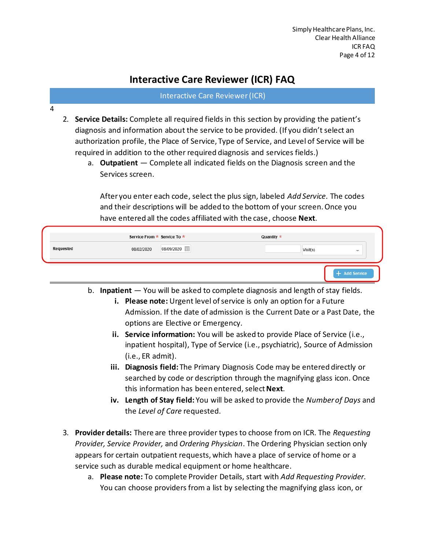Interactive Care Reviewer (ICR)

- 4
- 2. **Service Details:** Complete all required fields in this section by providing the patient's diagnosis and information about the service to be provided. (If you didn't select an authorization profile, the Place of Service, Type of Service, and Level of Service will be required in addition to the other required diagnosis and services fields.)
	- a. **Outpatient** Complete all indicated fields on the Diagnosis screen and the Services screen.

After you enter each code, select the plus sign, labeled *Add Service*. The codes and their descriptions will be added to the bottom of your screen. Once you have entered all the codes affiliated with the case, choose **Next**.

|           | Service From * Service To *   | Quantity $\star$        |
|-----------|-------------------------------|-------------------------|
| Requested | 08/09/2020 ::::<br>08/02/2020 | Visit(s)<br>$\equiv$    |
|           |                               | <b>Add Service</b><br>÷ |

- b. **Inpatient**  You will be asked to complete diagnosis and length of stay fields.
	- **i. Please note:** Urgent level of service is only an option for a Future Admission. If the date of admission is the Current Date or a Past Date, the options are Elective or Emergency.
	- **ii. Service information:** You will be asked to provide Place of Service (i.e., inpatient hospital), Type of Service (i.e., psychiatric), Source of Admission (i.e., ER admit).
	- **iii. Diagnosis field:** The Primary Diagnosis Code may be entered directly or searched by code or description through the magnifying glass icon. Once this information has been entered, select **Next**.
	- **iv. Length of Stay field:** You will be asked to provide the *Number of Days* and the *Level of Care* requested.
- 3. **Provider details:** There are three provider types to choose from on ICR. The *Requesting Provider, Service Provider,* and *Ordering Physician*. The Ordering Physician section only appears for certain outpatient requests, which have a place of service of home or a service such as durable medical equipment or home healthcare.
	- a. **Please note:** To complete Provider Details, start with *Add Requesting Provider.* You can choose providers from a list by selecting the magnifying glass icon, or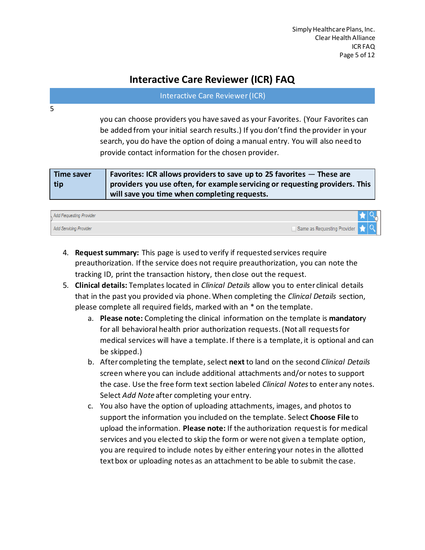#### Interactive Care Reviewer (ICR)

you can choose providers you have saved as your Favorites. (Your Favorites can be added from your initial search results.) If you don't find the provider in your search, you do have the option of doing a manual entry. You will also need to provide contact information for the chosen provider.

| <b>Time saver</b> | Favorites: ICR allows providers to save up to 25 favorites $-$ These are     |
|-------------------|------------------------------------------------------------------------------|
| tip               | providers you use often, for example servicing or requesting providers. This |
|                   | will save you time when completing requests.                                 |

| <b>Add Requesting Provider</b>                                           |  |  |
|--------------------------------------------------------------------------|--|--|
| Same as Requesting Provider <b>19 Q</b><br><b>Add Servicing Provider</b> |  |  |

- 4. **Request summary:** This page is used to verify if requested services require preauthorization. If the service does not require preauthorization, you can note the tracking ID, print the transaction history, then close out the request.
- 5. **Clinical details:** Templates located in *Clinical Details* allow you to enter clinical details that in the past you provided via phone. When completing the *Clinical Details* section, please complete all required fields, marked with an \* on the template.
	- a. **Please note:** Completing the clinical information on the template is **mandator**y for all behavioral health prior authorization requests.(Not all requests for medical services will have a template. If there is a template, it is optional and can be skipped.)
	- b. After completing the template, select **next** to land on the second *Clinical Details* screen where you can include additional attachments and/or notes to support the case. Use the free form text section labeled *Clinical Notes*to enter any notes. Select *Add Note* after completing your entry.
	- c. You also have the option of uploading attachments, images, and photos to support the information you included on the template. Select **Choose File** to upload the information. **Please note:** If the authorization request is for medical services and you elected to skip the form or were not given a template option, you are required to include notes by either entering your notes in the allotted text box or uploading notes as an attachment to be able to submit the case.

5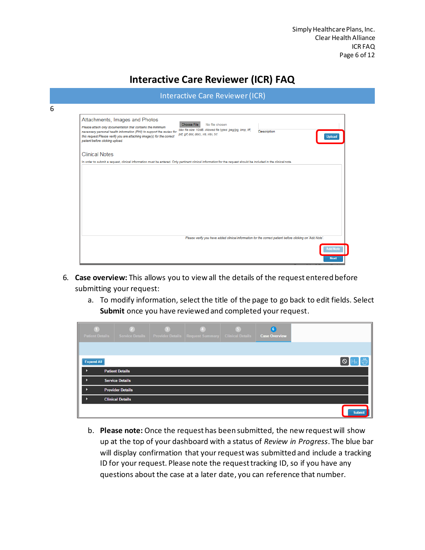| Attachments, Images and Photos<br>Please attach only documentation that contains the minimum<br>necessary personal health information (PHI) to support the review for<br>this request.Please verify you are attaching image(s) for the correct<br>patient before clicking upload. | No file chosen<br><b>Choose File</b><br>Max file size: 10MB. Allowed file types: jpeg/jpg, bmp, tiff,<br>pdf, glf, doc, docx, xls, xlsx, txt                     | Description<br><b>Upload</b>                                                                             |
|-----------------------------------------------------------------------------------------------------------------------------------------------------------------------------------------------------------------------------------------------------------------------------------|------------------------------------------------------------------------------------------------------------------------------------------------------------------|----------------------------------------------------------------------------------------------------------|
| <b>Clinical Notes</b>                                                                                                                                                                                                                                                             |                                                                                                                                                                  |                                                                                                          |
|                                                                                                                                                                                                                                                                                   | In order to submit a request, clinical information must be entered. Only pertinent clinical information for the request should be included in the clinical note. |                                                                                                          |
|                                                                                                                                                                                                                                                                                   |                                                                                                                                                                  |                                                                                                          |
|                                                                                                                                                                                                                                                                                   |                                                                                                                                                                  | Please verify you have added clinical information for the correct patient before clicking on 'Add Note'. |

- 6. **Case overview:** This allows you to view all the details of the request entered before submitting your request:
	- a. To modify information, select the title of the page to go back to edit fields. Select **Submit** once you have reviewed and completed your request.

| <b>Patient Details</b> | <b>Service Details</b>  | <b>Provider Details   Request Summary   Clinical Details</b> | 6<br><b>Case Overview</b> |               |
|------------------------|-------------------------|--------------------------------------------------------------|---------------------------|---------------|
|                        |                         |                                                              |                           |               |
| <b>Expand All</b>      |                         |                                                              |                           |               |
|                        | <b>Patient Details</b>  |                                                              |                           |               |
| D                      | <b>Service Details</b>  |                                                              |                           |               |
|                        | <b>Provider Details</b> |                                                              |                           |               |
|                        | <b>Clinical Details</b> |                                                              |                           |               |
|                        |                         |                                                              |                           | <b>Submit</b> |

b. **Please note:** Once the request has been submitted, the new request will show up at the top of your dashboard with a status of *Review in Progress*. The blue bar will display confirmation that your request was submitted and include a tracking ID for your request. Please note the request tracking ID, so if you have any questions about the case at a later date, you can reference that number.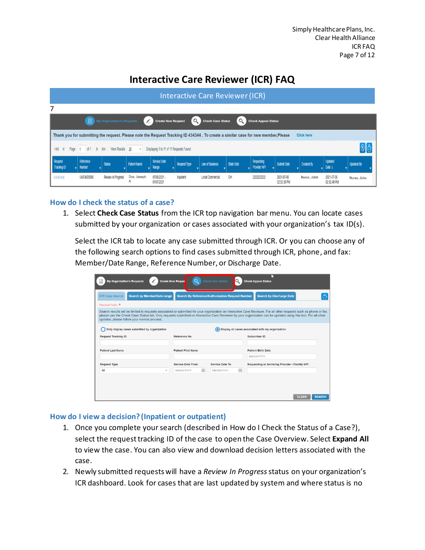| Interactive Care Reviewer (ICR) |                                                                                                                                         |                       |                     |                                         |                     |                                                                                                                                   |                   |                                          |                           |             |                                    |                   |
|---------------------------------|-----------------------------------------------------------------------------------------------------------------------------------------|-----------------------|---------------------|-----------------------------------------|---------------------|-----------------------------------------------------------------------------------------------------------------------------------|-------------------|------------------------------------------|---------------------------|-------------|------------------------------------|-------------------|
| 7                               |                                                                                                                                         |                       |                     |                                         |                     |                                                                                                                                   |                   |                                          |                           |             |                                    |                   |
|                                 | C Check Case Status<br>Q<br>$\mathcal{L}$<br>目<br>My Organization's Requests<br><b>Create New Request</b><br><b>Check Appeal Status</b> |                       |                     |                                         |                     |                                                                                                                                   |                   |                                          |                           |             |                                    |                   |
|                                 |                                                                                                                                         |                       |                     |                                         |                     | Thank you for submitting the request. Please note the Request Tracking ID 434344. To create a similar case for new member, Please |                   |                                          |                           | Click here  |                                    |                   |
| $\frac{1}{2}$<br>Page           | of 1<br>D.                                                                                                                              | View Results 20<br> b |                     | Displaying 1 to 11 of 11 Requests Found |                     |                                                                                                                                   |                   |                                          |                           |             |                                    | $\bigcirc$        |
| Request<br>Tracking ID          | Reference<br><b>Number</b>                                                                                                              | <b>Status</b>         | <b>Patient Name</b> | Service Date<br>Range                   | <b>Request Type</b> | <b>Line of Business</b>                                                                                                           | <b>State Sold</b> | <b>Requesting</b><br><b>Provider NPI</b> | <b>Submit Date</b>        | Created By  | <b>Updated</b><br>Date $\parallel$ | <b>Updated By</b> |
| 434344                          | UM74025080                                                                                                                              | Review In Progress    | Doe, Joseph<br>Α    | 07/06/2021 -<br>07/07/2021              | Inpatient           | Local Commercial                                                                                                                  | OH                | 2222222222                               | 2021-07-06<br>02.52.38 PM | Nurse, John | 2021-07-06<br>02.52.49 PM          | Nurse, John       |

#### <span id="page-6-0"></span>**How do I check the status of a case?**

1. Select **Check Case Status** from the ICR top navigation bar menu. You can locate cases submitted by your organization or cases associated with your organization's tax ID(s).

Select the ICR tab to locate any case submitted through ICR. Or you can choose any of the following search options to find cases submitted through ICR, phone, and fax: Member/Date Range, Reference Number, or Discharge Date.

| <b>My Organization's Requests</b>                                                                                                                                                                                                                                                                                                                                                   | $\circ$<br><b>Create New Reques</b>                | <b>Check Case Status</b><br>O                           | <b>Check Appeal Status</b>                        |                               |
|-------------------------------------------------------------------------------------------------------------------------------------------------------------------------------------------------------------------------------------------------------------------------------------------------------------------------------------------------------------------------------------|----------------------------------------------------|---------------------------------------------------------|---------------------------------------------------|-------------------------------|
| <b>ICR Case Search</b><br><b>Search by Member/Date range</b>                                                                                                                                                                                                                                                                                                                        |                                                    | <b>Search By Reference/Authorization Request Number</b> | <b>Search by Discharge Date</b>                   |                               |
| Required Fields *                                                                                                                                                                                                                                                                                                                                                                   |                                                    |                                                         |                                                   |                               |
| Search results will be limited to requests associated or submitted for your organization on Interactive Care Reviewer. For all other requests such as phone or fax,<br>please use the Check Case Status tab. Only requests submitted on Interactive Care Reviewer by your organization can be updated using this tool. For all other<br>updates, please follow your normal process. |                                                    |                                                         |                                                   |                               |
| Only display cases submitted by organization                                                                                                                                                                                                                                                                                                                                        |                                                    |                                                         | Display all cases associated with my organization |                               |
| <b>Request Tracking ID</b>                                                                                                                                                                                                                                                                                                                                                          | <b>Reference No</b>                                |                                                         | <b>Subscriber ID</b>                              |                               |
| <b>Patient Last Name</b>                                                                                                                                                                                                                                                                                                                                                            | <b>Patient First Name</b>                          |                                                         | <b>Patient Birth Date</b>                         |                               |
|                                                                                                                                                                                                                                                                                                                                                                                     |                                                    |                                                         | MM/DD/YYYY                                        |                               |
| <b>Request Type</b>                                                                                                                                                                                                                                                                                                                                                                 | <b>Service Date From</b>                           | <b>Service Date To</b>                                  | Requesting or Servicing Provider / Facility NPI   |                               |
| All                                                                                                                                                                                                                                                                                                                                                                                 | m<br><b>MM/DD/YYYY</b><br>$\overline{\phantom{a}}$ | m<br><b>MM/DD/YYYY</b>                                  |                                                   |                               |
|                                                                                                                                                                                                                                                                                                                                                                                     |                                                    |                                                         |                                                   |                               |
|                                                                                                                                                                                                                                                                                                                                                                                     |                                                    |                                                         |                                                   |                               |
|                                                                                                                                                                                                                                                                                                                                                                                     |                                                    |                                                         |                                                   | <b>CLEAR</b><br><b>SEARCH</b> |

#### <span id="page-6-1"></span>**How do I view a decision? (Inpatient or outpatient)**

- 1. Once you complete your search (described in How do I Check the Status of a Case?), select the request tracking ID of the case to open the Case Overview. Select **Expand All** to view the case. You can also view and download decision letters associated with the case.
- 2. Newly submitted requests will have a *Review In Progress*status on your organization's ICR dashboard. Look for cases that are last updated by system and where status is no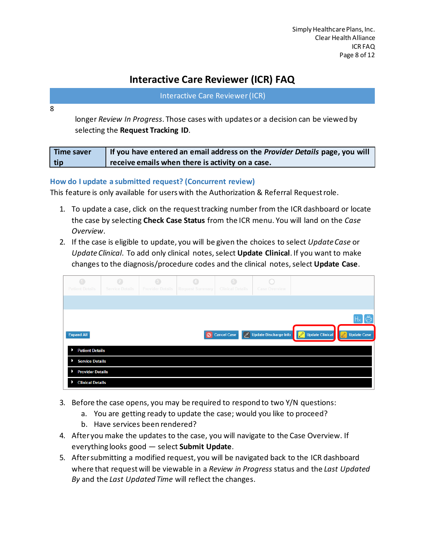| Interactive Care Reviewer (ICR) |  |  |  |
|---------------------------------|--|--|--|
|---------------------------------|--|--|--|

8

longer *Review In Progress*. Those cases with updates or a decision can be viewed by selecting the **Request Tracking ID**.

| <b>Time saver</b> | If you have entered an email address on the Provider Details page, you will |
|-------------------|-----------------------------------------------------------------------------|
| tip               | $\overline{1}$ receive emails when there is activity on a case.             |

#### <span id="page-7-0"></span>**How do I update a submitted request? (Concurrent review)**

This feature is only available for users with the Authorization & Referral Request role.

- 1. To update a case, click on the requesttracking number from the ICR dashboard or locate the case by selecting **Check Case Status** from the ICR menu. You will land on the *Case Overview*.
- 2. If the case is eligible to update, you will be given the choices to select *Update Case* or *Update Clinical*. To add only clinical notes, select **Update Clinical**. If you want to make changes to the diagnosis/procedure codes and the clinical notes, select **Update Case**.

| $\bigcap$<br><b>Patient Details</b> | $\bullet$<br><b>Service Details</b> | R<br><b>Provider Details</b> | <b>Request Summary</b> | <b>Clinical Details</b> | <b>Case Overview</b> |                                        |                                                              |
|-------------------------------------|-------------------------------------|------------------------------|------------------------|-------------------------|----------------------|----------------------------------------|--------------------------------------------------------------|
|                                     |                                     |                              |                        |                         |                      |                                        |                                                              |
|                                     |                                     |                              |                        |                         |                      |                                        | $\mathbb{R}[\mathbb{B}]$                                     |
| <b>Expand All</b>                   |                                     |                              |                        | O Cancel Case           |                      | Opdate Discharge Info Diperte Clinical | $\left\lfloor \mathbb{Z}\right\rfloor$<br><b>Update Case</b> |
| <b>Patient Details</b>              |                                     |                              |                        |                         |                      |                                        |                                                              |
| <b>Service Details</b>              |                                     |                              |                        |                         |                      |                                        |                                                              |
| <b>Provider Details</b>             |                                     |                              |                        |                         |                      |                                        |                                                              |
| <b>Clinical Details</b>             |                                     |                              |                        |                         |                      |                                        |                                                              |

- 3. Before the case opens, you may be required to respond to two Y/N questions:
	- a. You are getting ready to update the case; would you like to proceed?
	- b. Have services been rendered?
- 4. After you make the updates to the case, you will navigate to the Case Overview. If everything looks good — select **Submit Update**.
- 5. After submitting a modified request, you will be navigated back to the ICR dashboard where that request will be viewable in a *Review in Progress* status and the *Last Updated By* and the *Last Updated Time* will reflect the changes.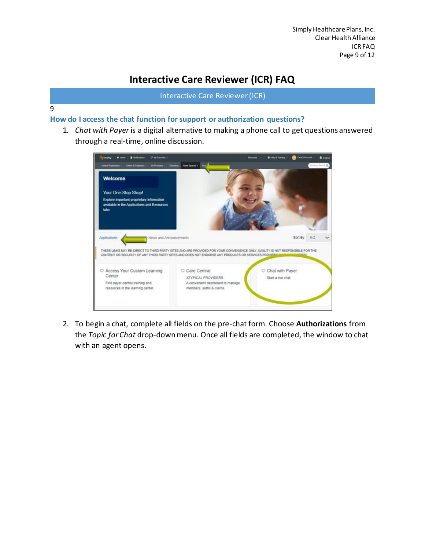Interactive Care Reviewer (ICR)

#### 9

### <span id="page-8-0"></span>**How do I access the chat function for support or authorization questions?**

1. *Chat with Payer* is a digital alternative to making a phone call to get questions answered through a real-time, online discussion.

| <b>Rothumy</b><br><b>O M Families</b><br><b>A</b> Notifications                                                 | @ Holp & Training                                                                                                                                                                                                                    | Cars's Account<br><b>A</b> Logist |
|-----------------------------------------------------------------------------------------------------------------|--------------------------------------------------------------------------------------------------------------------------------------------------------------------------------------------------------------------------------------|-----------------------------------|
| <b>Patterd Registration</b><br>Cherry & Playments<br><b>My Phonesiers</b>                                       | Reporting<br>Payer Spaces =<br>Mo                                                                                                                                                                                                    | Nyanti Isarit. Q                  |
| Welcome                                                                                                         |                                                                                                                                                                                                                                      |                                   |
| Your One-Stop Shop!                                                                                             |                                                                                                                                                                                                                                      |                                   |
| Explore important proprietary information<br>available in the Applications and Resources<br>tabs.               |                                                                                                                                                                                                                                      |                                   |
| Applications<br>News and Announcements                                                                          |                                                                                                                                                                                                                                      | Sort By<br>$A - Z$                |
|                                                                                                                 | THESE LINKS MAY RE-DIRECT TO THIRD PARTY SITES AND ARE PROVIDED FOR YOUR CONVENENCE ONLY. AVAILITY IS NOT RESPONSIBLE FOR THE<br>CONTENT OR SECURITY OF ANY THIRD PARTY SITES AND DOES NOT ENDORSE ANY PRODUCTS OR SERVICES PROVIDED | nmicci                            |
| C Access Your Custom Learning<br>Center<br>Find payer-centric training and<br>resources in the learning center. | Care Central<br>C Chat with Payer<br>ATYPICAL PROVIDERS<br>Start a live chat<br>A convenient dashboard to manage<br>members, auths & claims.                                                                                         |                                   |
|                                                                                                                 |                                                                                                                                                                                                                                      |                                   |

2. To begin a chat, complete all fields on the pre-chat form. Choose **Authorizations** from the *Topic for Chat* drop-down menu. Once all fields are completed, the window to chat with an agent opens.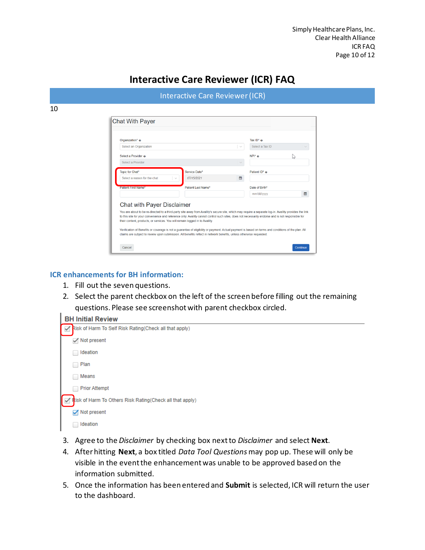| Organization* o              |                          |              |                 |    |
|------------------------------|--------------------------|--------------|-----------------|----|
|                              |                          |              | Tax $ID^*$ $Q$  |    |
| Select an Organization       |                          | $\checkmark$ | Select a Tax ID |    |
| Select a Provider o          |                          |              | $NPI^*$ $\odot$ | Ľ5 |
| Select a Provider            |                          |              |                 |    |
| Topic for Chat*              | Service Date*            |              | Patient ID* o   |    |
| Select a reason for the chat | 07/15/2021<br>$\searrow$ | ₩            |                 |    |
| <b>Patient First Name*</b>   | Patient Last Name*       |              | Date of Birth*  |    |
|                              |                          |              | mm/dd/yyyy      | ₩  |

#### <span id="page-9-0"></span>**ICR enhancements for BH information:**

- 1. Fill out the seven questions.
- 2. Select the parent checkbox on the left of the screen before filling out the remaining questions. Please see screenshot with parent checkbox circled.

| <b>BH Initial Review</b>                                               |
|------------------------------------------------------------------------|
| Risk of Harm To Self Risk Rating(Check all that apply)<br>$\checkmark$ |
| Not present                                                            |
| Ideation                                                               |
| Plan<br>m.                                                             |
| Means                                                                  |
| <b>Prior Attempt</b>                                                   |
| Risk of Harm To Others Risk Rating(Check all that apply)               |
| Not present                                                            |
| Ideation                                                               |
|                                                                        |

- 3. Agree to the *Disclaimer* by checking box next to *Disclaimer* and select **Next**.
- 4. After hitting **Next**, a box titled *Data Tool Questions* may pop up. These will only be visible in the event the enhancement was unable to be approved based on the information submitted.
- 5. Once the information has been entered and **Submit** is selected, ICR will return the user to the dashboard.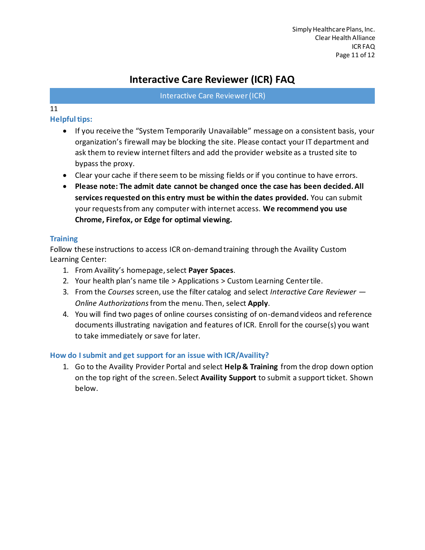Interactive Care Reviewer (ICR)

### 11

### <span id="page-10-0"></span>**Helpful tips:**

- If you receive the "System Temporarily Unavailable" message on a consistent basis, your organization's firewall may be blocking the site. Please contact your IT department and ask them to review internet filters and add the provider website as a trusted site to bypass the proxy.
- Clear your cache if there seem to be missing fields or if you continue to have errors.
- **Please note: The admit date cannot be changed once the case has been decided. All services requested on this entry must be within the dates provided.** You can submit your requests from any computer with internet access. **We recommend you use Chrome, Firefox, or Edge for optimal viewing.**

### <span id="page-10-1"></span>**Training**

Follow these instructions to access ICR on-demand training through the Availity Custom Learning Center:

- 1. From Availity's homepage, select **Payer Spaces**.
- 2. Your health plan's name tile > Applications > Custom Learning Center tile.
- 3. From the *Courses* screen, use the filter catalog and select *Interactive Care Reviewer — Online Authorizations*from the menu. Then, select **Apply**.
- 4. You will find two pages of online courses consisting of on-demand videos and reference documents illustrating navigation and features of ICR. Enroll for the course(s) you want to take immediately or save for later.

### <span id="page-10-2"></span>**How do I submit and get support for an issue with ICR/Availity?**

1. Go to the Availity Provider Portal and select **Help & Training** from the drop down option on the top right of the screen. Select **Availity Support** to submit a support ticket. Shown below.